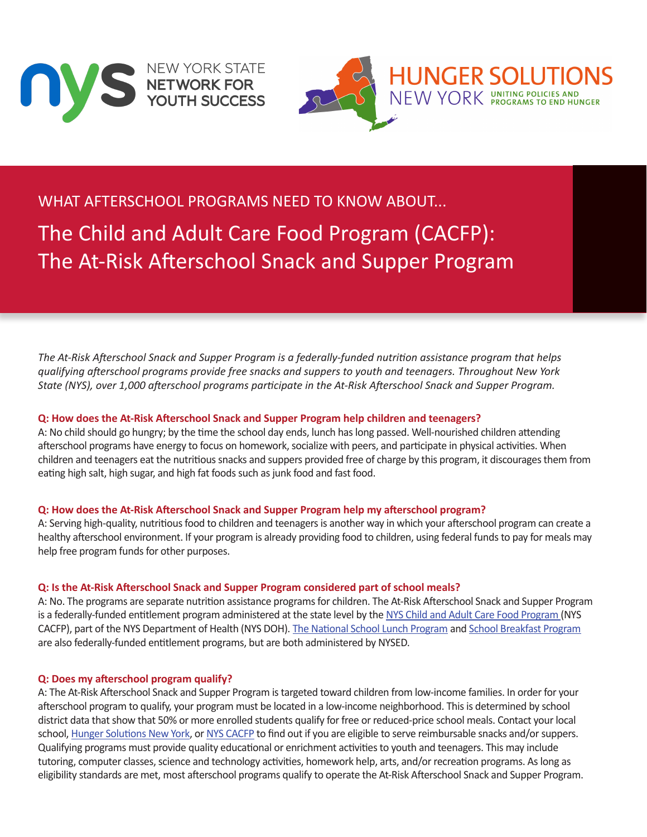



# WHAT AFTERSCHOOL PROGRAMS NEED TO KNOW ABOUT...

The Child and Adult Care Food Program (CACFP): The At-Risk Afterschool Snack and Supper Program

*The At-Risk Afterschool Snack and Supper Program is a federally-funded nutrition assistance program that helps qualifying afterschool programs provide free snacks and suppers to youth and teenagers. Throughout New York State (NYS), over 1,000 afterschool programs participate in the At-Risk Afterschool Snack and Supper Program.*

#### **Q: How does the At-Risk Afterschool Snack and Supper Program help children and teenagers?**

A: No child should go hungry; by the time the school day ends, lunch has long passed. Well-nourished children attending afterschool programs have energy to focus on homework, socialize with peers, and participate in physical activities. When children and teenagers eat the nutritious snacks and suppers provided free of charge by this program, it discourages them from eating high salt, high sugar, and high fat foods such as junk food and fast food.

## **Q: How does the At-Risk Afterschool Snack and Supper Program help my afterschool program?**

A: Serving high-quality, nutritious food to children and teenagers is another way in which your afterschool program can create a healthy afterschool environment. If your program is already providing food to children, using federal funds to pay for meals may help free program funds for other purposes.

#### **Q: Is the At-Risk Afterschool Snack and Supper Program considered part of school meals?**

A: No. The programs are separate nutrition assistance programs for children. The At-Risk Afterschool Snack and Supper Program is a federally-funded entitlement program administered at the state level by the [NYS Child and Adult Care Food Program](http://www.health.ny.gov/prevention/nutrition/cacfp/) (NYS CACFP), part of the NYS Department of Health (NYS DOH). [The National School Lunch Program](http://www.fns.usda.gov/cnd/lunch/) and [School Breakfast Program](http://www.fns.usda.gov/cnd/breakfast/) are also federally-funded entitlement programs, but are both administered by NYSED.

## **Q: Does my afterschool program qualify?**

A: The At-Risk Afterschool Snack and Supper Program is targeted toward children from low-income families. In order for your afterschool program to qualify, your program must be located in a low-income neighborhood. This is determined by school district data that show that 50% or more enrolled students qualify for free or reduced-price school meals. Contact your local school[, Hunger Solutions New York,](www.hungersolutionsny.org) or [NYS CACFP](http://www.health.ny.gov/prevention/nutrition/cacfp/) to find out if you are eligible to serve reimbursable snacks and/or suppers. Qualifying programs must provide quality educational or enrichment activities to youth and teenagers. This may include tutoring, computer classes, science and technology activities, homework help, arts, and/or recreation programs. As long as eligibility standards are met, most afterschool programs qualify to operate the At-Risk Afterschool Snack and Supper Program.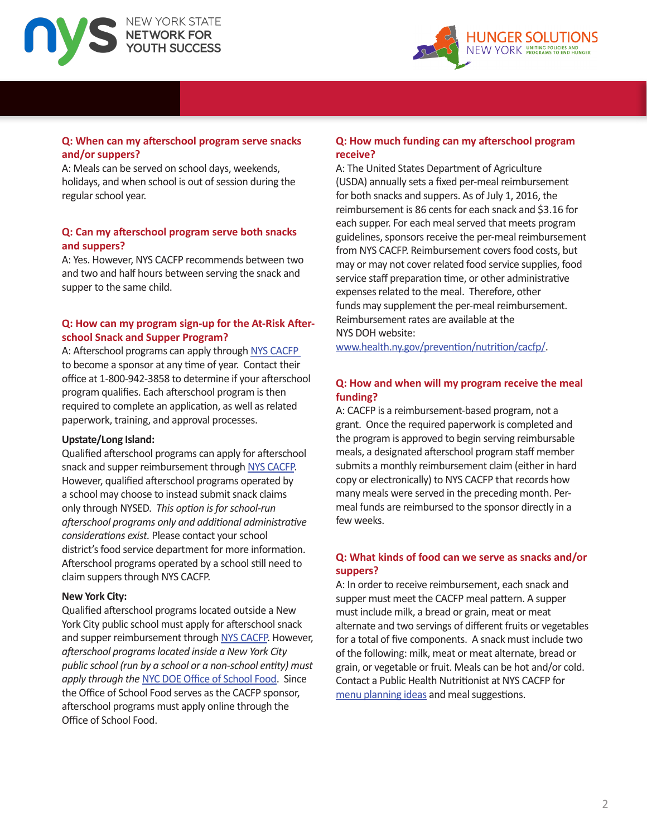



# **Q: When can my afterschool program serve snacks and/or suppers?**

A: Meals can be served on school days, weekends, holidays, and when school is out of session during the regular school year.

#### **Q: Can my afterschool program serve both snacks and suppers?**

A: Yes. However, NYS CACFP recommends between two and two and half hours between serving the snack and supper to the same child.

# **Q: How can my program sign-up for the At-Risk Afterschool Snack and Supper Program?**

A: Afterschool programs can apply throug[h NYS CACFP](http://www.health.ny.gov/prevention/nutrition/cacfp/)  to become a sponsor at any time of year. Contact their office at 1-800-942-3858 to determine if your afterschool program qualifies. Each afterschool program is then required to complete an application, as well as related paperwork, training, and approval processes.

#### **Upstate/Long Island:**

Qualified afterschool programs can apply for afterschool snack and supper reimbursement throug[h NYS CACFP.](http://www.health.ny.gov/prevention/nutrition/cacfp/)  However, qualified afterschool programs operated by a school may choose to instead submit snack claims only through NYSED. *This option is for school-run afterschool programs only and additional administrative considerations exist.* Please contact your school district's food service department for more information. Afterschool programs operated by a school still need to claim suppers through NYS CACFP.

#### **New York City:**

Qualified afterschool programs located outside a New York City public school must apply for afterschool snack and supper reimbursement throug[h NYS CACFP.](http://www.health.ny.gov/prevention/nutrition/cacfp/) However, *afterschool programs located inside a New York City public school (run by a school or a non-school entity) must apply through the* [NYC DOE Office of School Food.](http://www.opt-osfns.org/schoolfood/public1/default.aspx) Since the Office of School Food serves as the CACFP sponsor, afterschool programs must apply online through the Office of School Food.

# **Q: How much funding can my afterschool program receive?**

A: The United States Department of Agriculture (USDA) annually sets a fixed per-meal reimbursement for both snacks and suppers. As of July 1, 2016, the reimbursement is 86 cents for each snack and \$3.16 for each supper. For each meal served that meets program guidelines, sponsors receive the per-meal reimbursement from NYS CACFP. Reimbursement covers food costs, but may or may not cover related food service supplies, food service staff preparation time, or other administrative expenses related to the meal. Therefore, other funds may supplement the per-meal reimbursement. Reimbursement rates are available at the NYS DOH website:

[www.health.ny.gov/prevention/nutrition/cacfp/.](http://www.health.ny.gov/prevention/nutrition/cacfp/) 

# **Q: How and when will my program receive the meal funding?**

A: CACFP is a reimbursement-based program, not a grant. Once the required paperwork is completed and the program is approved to begin serving reimbursable meals, a designated afterschool program staff member submits a monthly reimbursement claim (either in hard copy or electronically) to NYS CACFP that records how many meals were served in the preceding month. Permeal funds are reimbursed to the sponsor directly in a few weeks.

# **Q: What kinds of food can we serve as snacks and/or suppers?**

A: In order to receive reimbursement, each snack and supper must meet the CACFP meal pattern. A supper must include milk, a bread or grain, meat or meat alternate and two servings of different fruits or vegetables for a total of five components. A snack must include two of the following: milk, meat or meat alternate, bread or grain, or vegetable or fruit. Meals can be hot and/or cold. Contact a Public Health Nutritionist at NYS CACFP for [menu planning ideas a](http://www.health.ny.gov/prevention/nutrition/resources/menuguides.htm)nd meal suggestions.